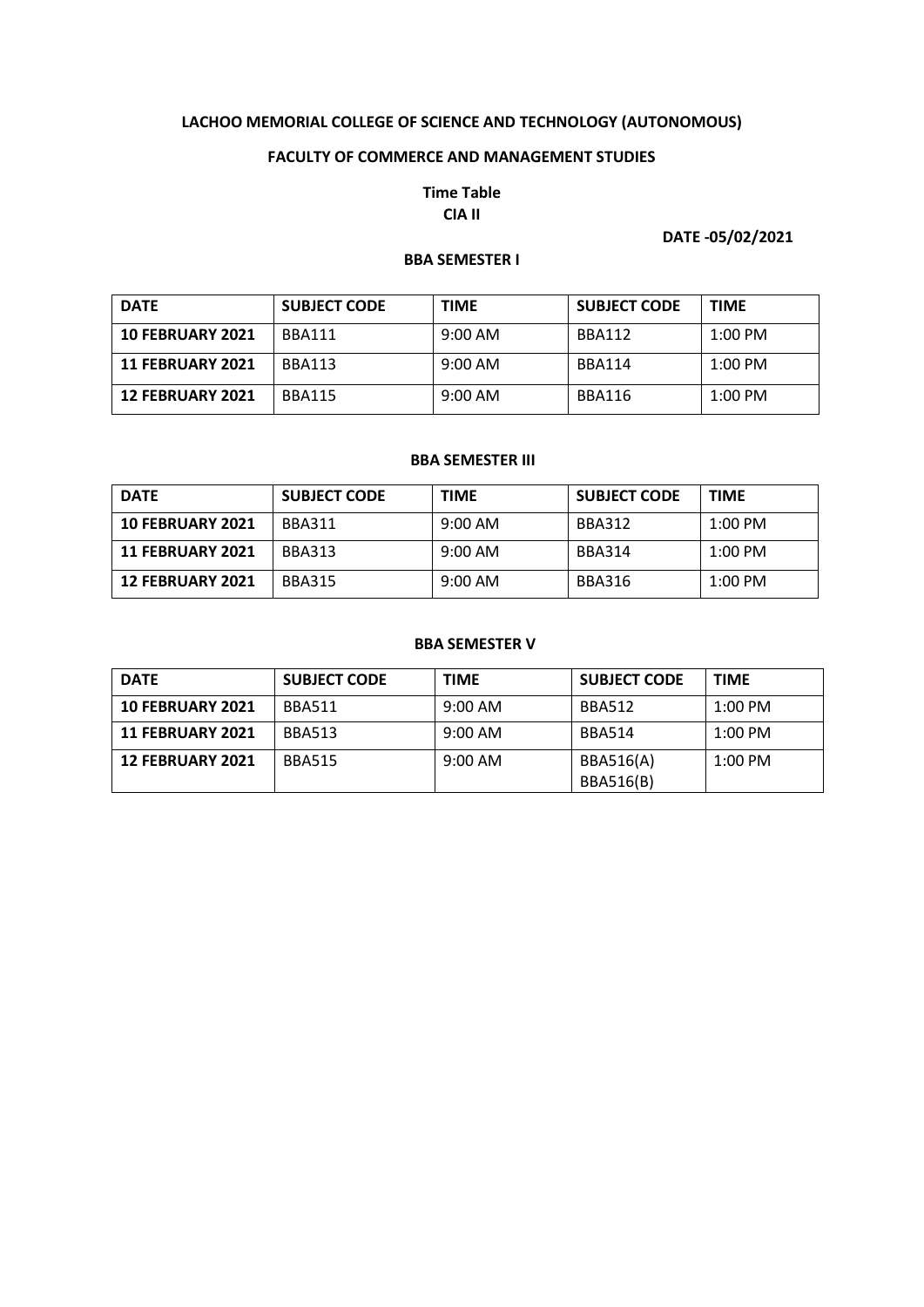#### **FACULTY OF COMMERCE AND MANAGEMENT STUDIES**

## **Time Table CIA II**

## **DATE -05/02/2021**

## **BBA SEMESTER I**

| <b>DATE</b>             | <b>SUBJECT CODE</b> | <b>TIME</b> | <b>SUBJECT CODE</b> | <b>TIME</b> |
|-------------------------|---------------------|-------------|---------------------|-------------|
| <b>10 FEBRUARY 2021</b> | <b>BBA111</b>       | $9:00$ AM   | BBA112              | $1:00$ PM   |
| <b>11 FEBRUARY 2021</b> | <b>BBA113</b>       | $9:00$ AM   | <b>BBA114</b>       | $1:00$ PM   |
| <b>12 FEBRUARY 2021</b> | <b>BBA115</b>       | $9:00$ AM   | BBA116              | $1:00$ PM   |

## **BBA SEMESTER III**

| <b>DATE</b>             | <b>SUBJECT CODE</b> | <b>TIME</b>       | <b>SUBJECT CODE</b> | <b>TIME</b> |
|-------------------------|---------------------|-------------------|---------------------|-------------|
| <b>10 FEBRUARY 2021</b> | BBA311              | $9:00 \text{ AM}$ | <b>BBA312</b>       | $1:00$ PM   |
| <b>11 FEBRUARY 2021</b> | <b>BBA313</b>       | $9:00 \text{ AM}$ | <b>BBA314</b>       | $1:00$ PM   |
| <b>12 FEBRUARY 2021</b> | <b>BBA315</b>       | $9:00 \text{ AM}$ | <b>BBA316</b>       | $1:00$ PM   |

#### **BBA SEMESTER V**

| <b>DATE</b>             | <b>SUBJECT CODE</b> | <b>TIME</b>       | <b>SUBJECT CODE</b>                  | <b>TIME</b> |
|-------------------------|---------------------|-------------------|--------------------------------------|-------------|
| <b>10 FEBRUARY 2021</b> | <b>BBA511</b>       | $9:00 \text{ AM}$ | <b>BBA512</b>                        | $1:00$ PM   |
| <b>11 FEBRUARY 2021</b> | <b>BBA513</b>       | $9:00 \text{ AM}$ | <b>BBA514</b>                        | $1:00$ PM   |
| <b>12 FEBRUARY 2021</b> | <b>BBA515</b>       | $9:00 \text{ AM}$ | <b>BBA516(A)</b><br><b>BBA516(B)</b> | $1:00$ PM   |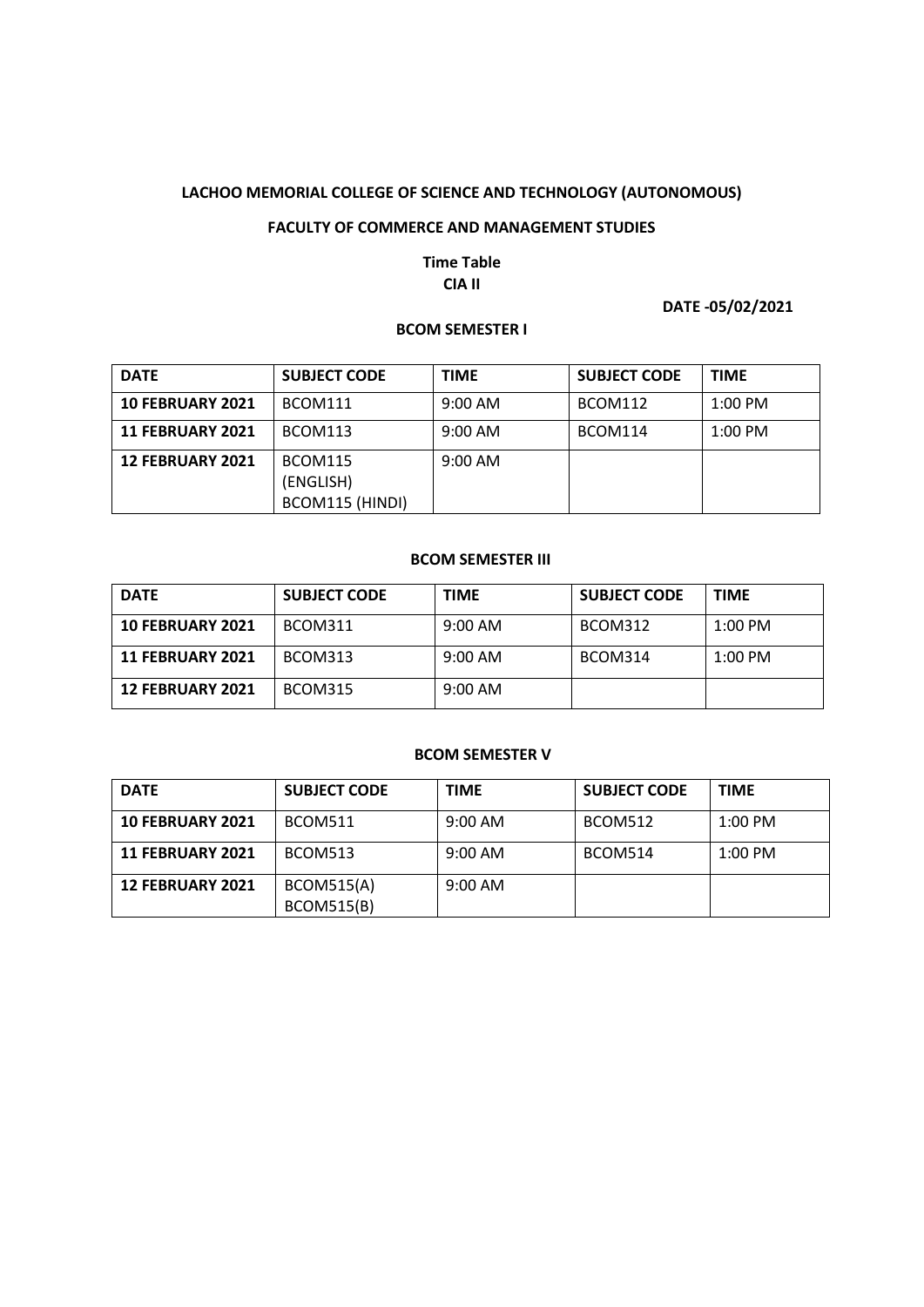#### **FACULTY OF COMMERCE AND MANAGEMENT STUDIES**

## **Time Table CIA II**

## **DATE -05/02/2021**

#### **BCOM SEMESTER I**

| <b>DATE</b>             | <b>SUBJECT CODE</b> | <b>TIME</b> | <b>SUBJECT CODE</b> | <b>TIME</b> |
|-------------------------|---------------------|-------------|---------------------|-------------|
| <b>10 FEBRUARY 2021</b> | BCOM111             | 9:00 AM     | BCOM112             | $1:00$ PM   |
| <b>11 FEBRUARY 2021</b> | BCOM113             | $9:00$ AM   | BCOM114             | $1:00$ PM   |
| <b>12 FEBRUARY 2021</b> | BCOM115             | $9:00$ AM   |                     |             |
|                         | (ENGLISH)           |             |                     |             |
|                         | BCOM115 (HINDI)     |             |                     |             |

## **BCOM SEMESTER III**

| <b>DATE</b>             | <b>SUBJECT CODE</b> | <b>TIME</b>       | <b>SUBJECT CODE</b> | <b>TIME</b> |
|-------------------------|---------------------|-------------------|---------------------|-------------|
| <b>10 FEBRUARY 2021</b> | BCOM311             | $9:00 \text{ AM}$ | BCOM312             | $1:00$ PM   |
| <b>11 FEBRUARY 2021</b> | BCOM313             | $9:00 \text{ AM}$ | BCOM314             | $1:00$ PM   |
| <b>12 FEBRUARY 2021</b> | BCOM315             | $9:00 \text{ AM}$ |                     |             |

#### **BCOM SEMESTER V**

| <b>DATE</b>             | <b>SUBJECT CODE</b> | <b>TIME</b>       | <b>SUBJECT CODE</b> | <b>TIME</b> |
|-------------------------|---------------------|-------------------|---------------------|-------------|
| <b>10 FEBRUARY 2021</b> | BCOM511             | $9:00 \text{ AM}$ | BCOM512             | $1:00$ PM   |
| <b>11 FEBRUARY 2021</b> | <b>BCOM513</b>      | $9:00 \text{ AM}$ | <b>BCOM514</b>      | $1:00$ PM   |
| <b>12 FEBRUARY 2021</b> | <b>BCOM515(A)</b>   | $9:00 \text{ AM}$ |                     |             |
|                         | <b>BCOM515(B)</b>   |                   |                     |             |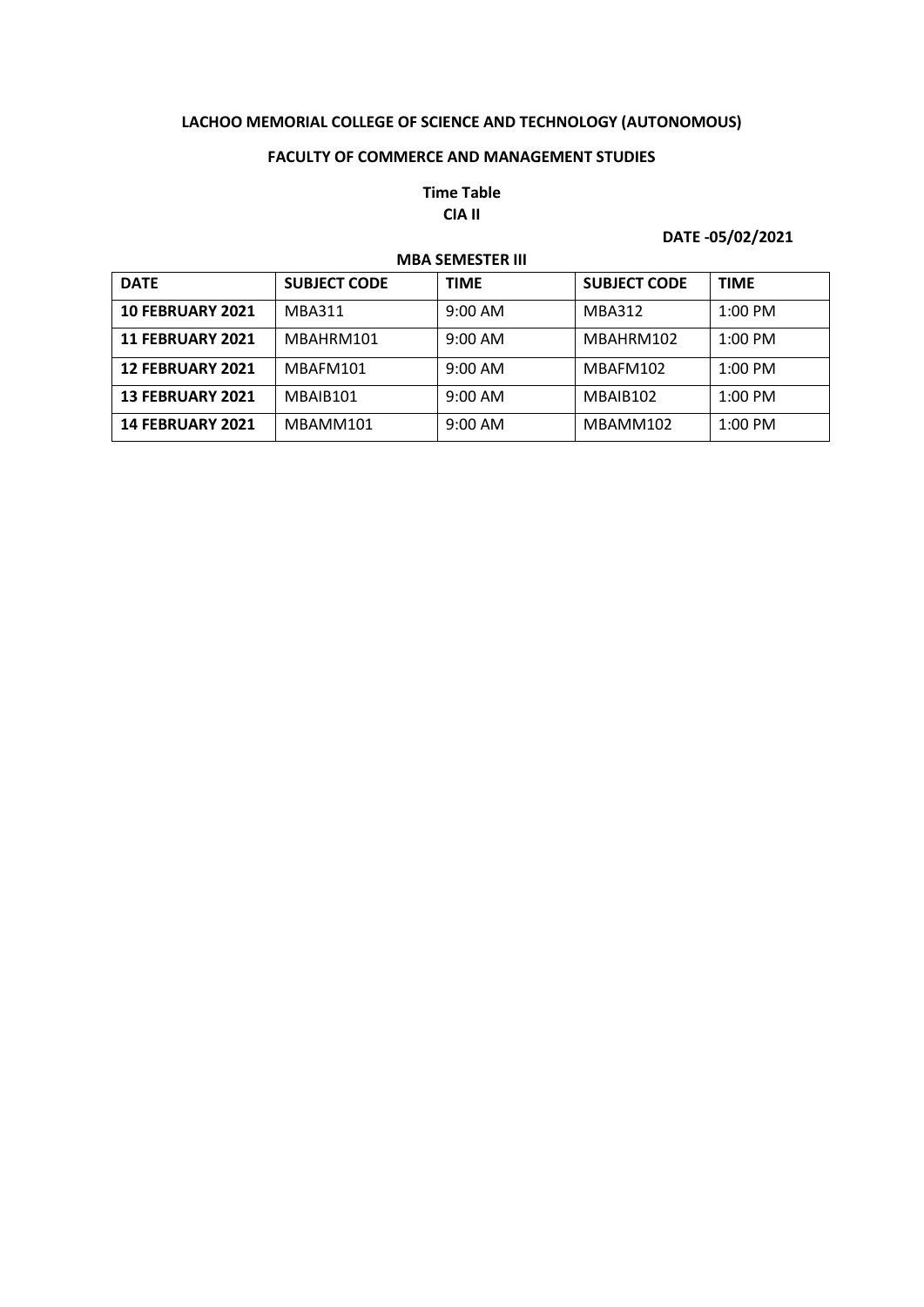## **FACULTY OF COMMERCE AND MANAGEMENT STUDIES**

## **Time Table CIA II**

## **DATE -05/02/2021**

| <b>MBA SEMESTER III</b> |                     |                   |                     |                   |  |
|-------------------------|---------------------|-------------------|---------------------|-------------------|--|
| <b>DATE</b>             | <b>SUBJECT CODE</b> | <b>TIME</b>       | <b>SUBJECT CODE</b> | <b>TIME</b>       |  |
| <b>10 FEBRUARY 2021</b> | <b>MBA311</b>       | 9:00 AM           | <b>MBA312</b>       | $1:00$ PM         |  |
| <b>11 FEBRUARY 2021</b> | MBAHRM101           | $9:00$ AM         | MBAHRM102           | $1:00$ PM         |  |
| <b>12 FEBRUARY 2021</b> | MBAFM101            | $9:00$ AM         | MBAFM102            | $1:00 \text{ PM}$ |  |
| <b>13 FEBRUARY 2021</b> | MBAIB101            | $9:00 \text{ AM}$ | MBAIB102            | $1:00$ PM         |  |
| <b>14 FEBRUARY 2021</b> | MBAMM101            | $9:00$ AM         | MBAMM102            | $1:00$ PM         |  |